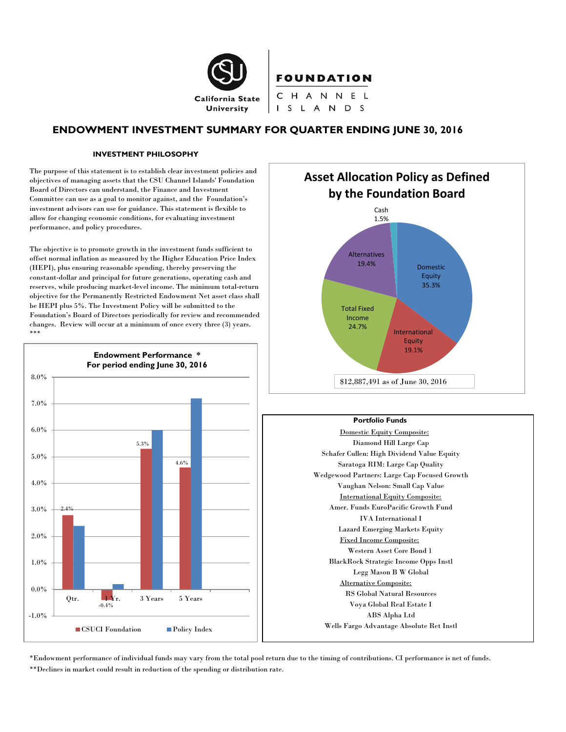

# **ENDOWMENT INVESTMENT SUMMARY FOR QUARTER ENDING JUNE 30, 2016**

#### **INVESTMENT PHILOSOPHY**

The purpose of this statement is to establish clear investment policies and objectives of managing assets that the CSU Channel Islands' Foundation Board of Directors can understand, the Finance and Investment Committee can use as a goal to monitor against, and the Foundation's investment advisors can use for guidance. This statement is flexible to allow for changing economic conditions, for evaluating investment performance, and policy procedures.

The objective is to promote growth in the investment funds sufficient to offset normal inflation as measured by the Higher Education Price Index (HEPI), plus ensuring reasonable spending, thereby preserving the constant-dollar and principal for future generations, operating cash and reserves, while producing market-level income. The minimum total-return objective for the Permanently Restricted Endowment Net asset class shall be HEPI plus 5%. The Investment Policy will be submitted to the Foundation's Board of Directors periodically for review and recommended changes. Review will occur at a minimum of once every three (3) years. \*\*\*





#### **Portfolio Funds**

Domestic Equity Composite: Diamond Hill Large Cap Schafer Cullen: High Dividend Value Equity Saratoga RIM: Large Cap Quality Wedgewood Partners: Large Cap Focused Growth Vaughan Nelson: Small Cap Value International Equity Composite: Amer. Funds EuroPacific Growth Fund IVA International I Lazard Emerging Markets Equity Fixed Income Composite: Western Asset Core Bond 1 BlackRock Strategic Income Opps Instl Legg Mason B W Global Alternative Composite: RS Global Natural Resources Voya Global Real Estate I ABS Alpha Ltd Wells Fargo Advantage Absolute Ret Instl

\*Endowment performance of individual funds may vary from the total pool return due to the timing of contributions. CI performance is net of funds. \*\*Declines in market could result in reduction of the spending or distribution rate.